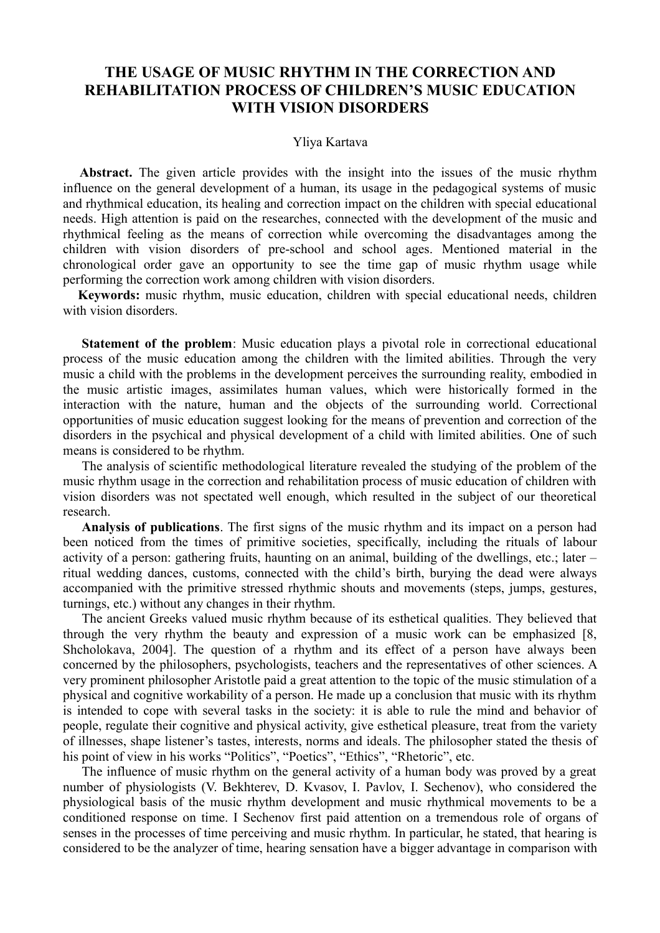# **THE USAGE OF MUSIC RHYTHM IN THE CORRECTION AND REHABILITATION PROCESS OF CHILDREN'S MUSIC EDUCATION WITH VISION DISORDERS**

#### Yliya Kartava

**Abstract.** The given article provides with the insight into the issues of the music rhythm influence on the general development of a human, its usage in the pedagogical systems of music and rhythmical education, its healing and correction impact on the children with special educational needs. High attention is paid on the researches, connected with the development of the music and rhythmical feeling as the means of correction while overcoming the disadvantages among the children with vision disorders of pre-school and school ages. Mentioned material in the chronological order gave an opportunity to see the time gap of music rhythm usage while performing the correction work among children with vision disorders.

**Keywords:** music rhythm, music education, children with special educational needs, children with vision disorders.

**Statement of the problem**: Music education plays a pivotal role in correctional educational process of the music education among the children with the limited abilities. Through the very music a child with the problems in the development perceives the surrounding reality, embodied in the music artistic images, assimilates human values, which were historically formed in the interaction with the nature, human and the objects of the surrounding world. Correctional opportunities of music education suggest looking for the means of prevention and correction of the disorders in the psychical and physical development of a child with limited abilities. One of such means is considered to be rhythm.

The analysis of scientific methodological literature revealed the studying of the problem of the music rhythm usage in the correction and rehabilitation process of music education of children with vision disorders was not spectated well enough, which resulted in the subject of our theoretical research.

**Analysis of publications**. The first signs of the music rhythm and its impact on a person had been noticed from the times of primitive societies, specifically, including the rituals of labour activity of a person: gathering fruits, haunting on an animal, building of the dwellings, etc.; later – ritual wedding dances, customs, connected with the child's birth, burying the dead were always accompanied with the primitive stressed rhythmic shouts and movements (steps, jumps, gestures, turnings, etc.) without any changes in their rhythm.

The ancient Greeks valued music rhythm because of its esthetical qualities. They believed that through the very rhythm the beauty and expression of a music work can be emphasized [8, Shcholokava, 2004]. The question of a rhythm and its effect of a person have always been concerned by the philosophers, psychologists, teachers and the representatives of other sciences. A very prominent philosopher Aristotle paid a great attention to the topic of the music stimulation of a physical and cognitive workability of a person. He made up a conclusion that music with its rhythm is intended to cope with several tasks in the society: it is able to rule the mind and behavior of people, regulate their cognitive and physical activity, give esthetical pleasure, treat from the variety of illnesses, shape listener's tastes, interests, norms and ideals. The philosopher stated the thesis of his point of view in his works "Politics", "Poetics", "Ethics", "Rhetoric", etc.

The influence of music rhythm on the general activity of a human body was proved by a great number of physiologists (V. Bekhterev, D. Kvasov, I. Pavlov, I. Sechenov), who considered the physiological basis of the music rhythm development and music rhythmical movements to be a conditioned response on time. I Sechenov first paid attention on a tremendous role of organs of senses in the processes of time perceiving and music rhythm. In particular, he stated, that hearing is considered to be the analyzer of time, hearing sensation have a bigger advantage in comparison with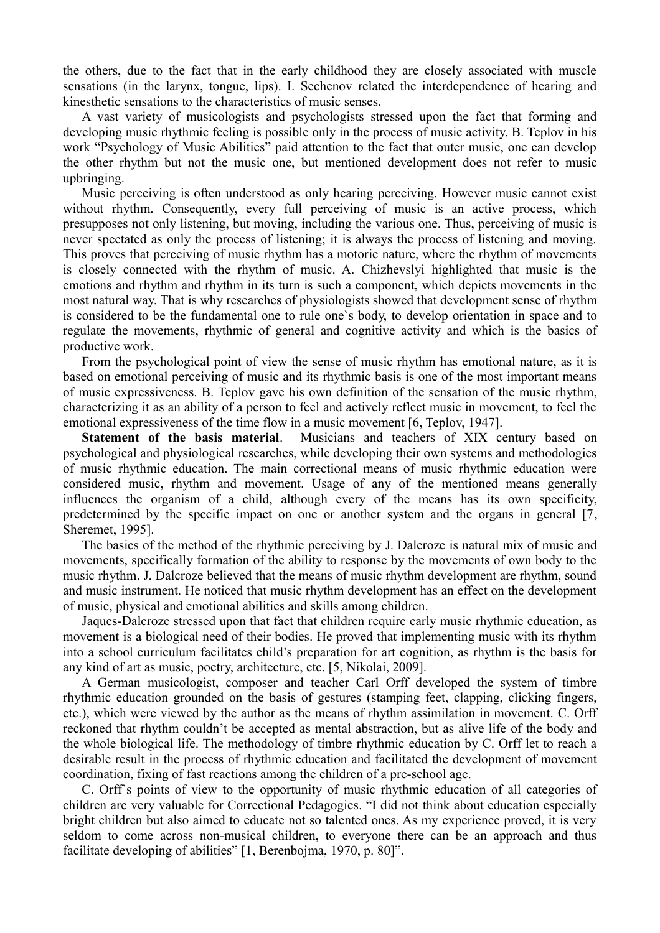the others, due to the fact that in the early childhood they are closely associated with muscle sensations (in the larynx, tongue, lips). I. Sechenov related the interdependence of hearing and kinesthetic sensations to the characteristics of music senses.

A vast variety of musicologists and psychologists stressed upon the fact that forming and developing music rhythmic feeling is possible only in the process of music activity. B. Teplov in his work "Psychology of Music Abilities" paid attention to the fact that outer music, one can develop the other rhythm but not the music one, but mentioned development does not refer to music upbringing.

Music perceiving is often understood as only hearing perceiving. However music cannot exist without rhythm. Consequently, every full perceiving of music is an active process, which presupposes not only listening, but moving, including the various one. Thus, perceiving of music is never spectated as only the process of listening; it is always the process of listening and moving. This proves that perceiving of music rhythm has a motoric nature, where the rhythm of movements is closely connected with the rhythm of music. A. Chizhevslyi highlighted that music is the emotions and rhythm and rhythm in its turn is such a component, which depicts movements in the most natural way. That is why researches of physiologists showed that development sense of rhythm is considered to be the fundamental one to rule one`s body, to develop orientation in space and to regulate the movements, rhythmic of general and cognitive activity and which is the basics of productive work.

From the psychological point of view the sense of music rhythm has emotional nature, as it is based on emotional perceiving of music and its rhythmic basis is one of the most important means of music expressiveness. B. Teplov gave his own definition of the sensation of the music rhythm, characterizing it as an ability of a person to feel and actively reflect music in movement, to feel the emotional expressiveness of the time flow in a music movement [6, Teplov, 1947].

**Statement of the basis material**. Musicians and teachers of XIX century based on psychological and physiological researches, while developing their own systems and methodologies of music rhythmic education. The main correctional means of music rhythmic education were considered music, rhythm and movement. Usage of any of the mentioned means generally influences the organism of a child, although every of the means has its own specificity, predetermined by the specific impact on one or another system and the organs in general [7, Sheremet, 1995].

The basics of the method of the rhythmic perceiving by J. Dalcroze is natural mix of music and movements, specifically formation of the ability to response by the movements of own body to the music rhythm. J. Dalcroze believed that the means of music rhythm development are rhythm, sound and music instrument. He noticed that music rhythm development has an effect on the development of music, physical and emotional abilities and skills among children.

Jaques-Dalcroze stressed upon that fact that children require early music rhythmic education, as movement is a biological need of their bodies. He proved that implementing music with its rhythm into a school curriculum facilitates child's preparation for art cognition, as rhythm is the basis for any kind of art as music, poetry, architecture, etc. [5, Nikolai, 2009].

A German musicologist, composer and teacher Carl Orff developed the system of timbre rhythmic education grounded on the basis of gestures (stamping feet, clapping, clicking fingers, etc.), which were viewed by the author as the means of rhythm assimilation in movement. C. Orff reckoned that rhythm couldn't be accepted as mental abstraction, but as alive life of the body and the whole biological life. The methodology of timbre rhythmic education by C. Orff let to reach a desirable result in the process of rhythmic education and facilitated the development of movement coordination, fixing of fast reactions among the children of a pre-school age.

C. Orff`s points of view to the opportunity of music rhythmic education of all categories of children are very valuable for Correctional Pedagogics. "I did not think about education especially bright children but also aimed to educate not so talented ones. As my experience proved, it is very seldom to come across non-musical children, to everyone there can be an approach and thus facilitate developing of abilities" [1, Berenbojma, 1970, p. 80]".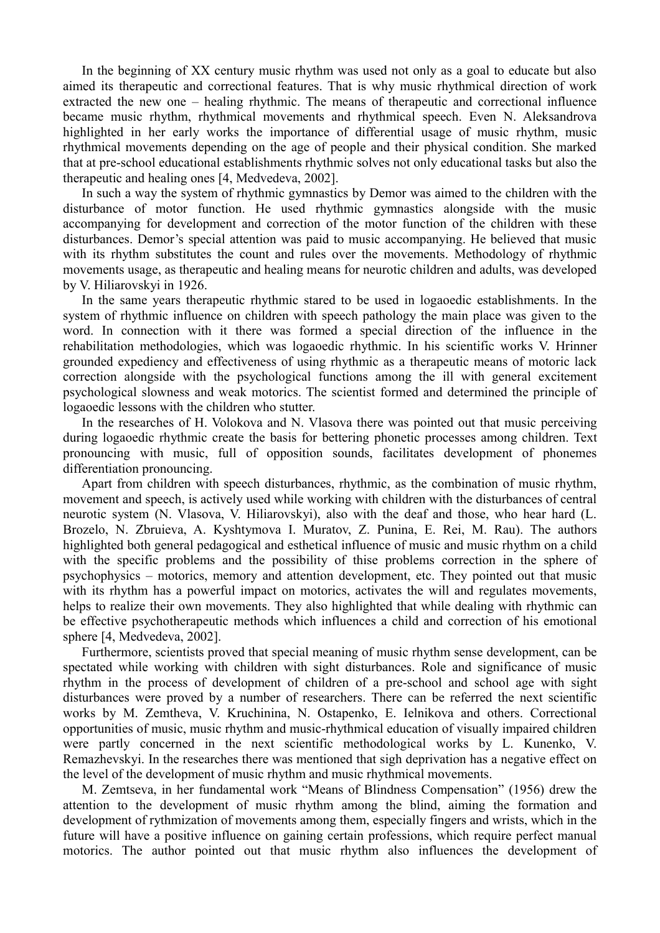In the beginning of XX century music rhythm was used not only as a goal to educate but also aimed its therapeutic and correctional features. That is why music rhythmical direction of work extracted the new one – healing rhythmic. The means of therapeutic and correctional influence became music rhythm, rhythmical movements and rhythmical speech. Even N. Aleksandrova highlighted in her early works the importance of differential usage of music rhythm, music rhythmical movements depending on the age of people and their physical condition. She marked that at pre-school educational establishments rhythmic solves not only educational tasks but also the therapeutic and healing ones [4, Medvedeva, 2002].

In such a way the system of rhythmic gymnastics by Demor was aimed to the children with the disturbance of motor function. He used rhythmic gymnastics alongside with the music accompanying for development and correction of the motor function of the children with these disturbances. Demor's special attention was paid to music accompanying. He believed that music with its rhythm substitutes the count and rules over the movements. Methodology of rhythmic movements usage, as therapeutic and healing means for neurotic children and adults, was developed by V. Hiliarovskyi in 1926.

In the same years therapeutic rhythmic stared to be used in logaoedic establishments. In the system of rhythmic influence on children with speech pathology the main place was given to the word. In connection with it there was formed a special direction of the influence in the rehabilitation methodologies, which was logaoedic rhythmic. In his scientific works V. Hrinner grounded expediency and effectiveness of using rhythmic as a therapeutic means of motoric lack correction alongside with the psychological functions among the ill with general excitement psychological slowness and weak motorics. The scientist formed and determined the principle of logaoedic lessons with the children who stutter.

In the researches of H. Volokova and N. Vlasova there was pointed out that music perceiving during logaoedic rhythmic create the basis for bettering phonetic processes among children. Text pronouncing with music, full of opposition sounds, facilitates development of phonemes differentiation pronouncing.

Apart from children with speech disturbances, rhythmic, as the combination of music rhythm, movement and speech, is actively used while working with children with the disturbances of central neurotic system (N. Vlasova, V. Hiliarovskyi), also with the deaf and those, who hear hard (L. Brozelo, N. Zbruieva, A. Kyshtymova I. Muratov, Z. Punina, E. Rei, M. Rau). The authors highlighted both general pedagogical and esthetical influence of music and music rhythm on a child with the specific problems and the possibility of thise problems correction in the sphere of psychophysics – motorics, memory and attention development, etc. They pointed out that music with its rhythm has a powerful impact on motorics, activates the will and regulates movements, helps to realize their own movements. They also highlighted that while dealing with rhythmic can be effective psychotherapeutic methods which influences a child and correction of his emotional sphere [4, Medvedeva, 2002].

Furthermore, scientists proved that special meaning of music rhythm sense development, can be spectated while working with children with sight disturbances. Role and significance of music rhythm in the process of development of children of a pre-school and school age with sight disturbances were proved by a number of researchers. There can be referred the next scientific works by M. Zemtheva, V. Kruchinina, N. Ostapenko, E. Ielnikova and others. Correctional opportunities of music, music rhythm and music-rhythmical education of visually impaired children were partly concerned in the next scientific methodological works by L. Kunenko, V. Remazhevskyi. In the researches there was mentioned that sigh deprivation has a negative effect on the level of the development of music rhythm and music rhythmical movements.

M. Zemtseva, in her fundamental work "Means of Blindness Compensation" (1956) drew the attention to the development of music rhythm among the blind, aiming the formation and development of rythmization of movements among them, especially fingers and wrists, which in the future will have a positive influence on gaining certain professions, which require perfect manual motorics. The author pointed out that music rhythm also influences the development of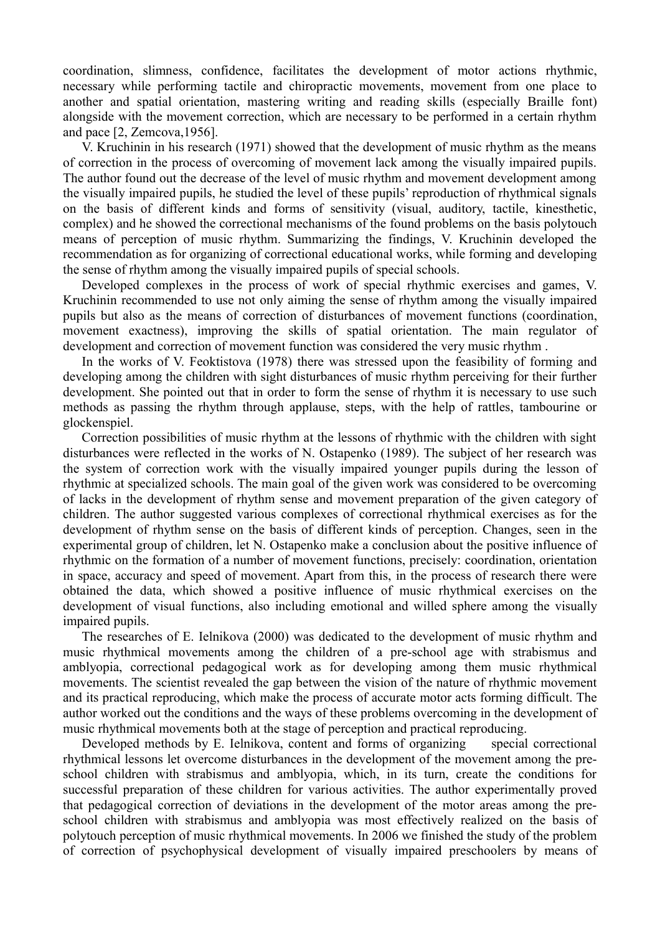coordination, slimness, confidence, facilitates the development of motor actions rhythmic, necessary while performing tactile and chiropractic movements, movement from one place to another and spatial orientation, mastering writing and reading skills (especially Braille font) alongside with the movement correction, which are necessary to be performed in a certain rhythm and pace [2, Zemcova,1956].

V. Kruchinin in his research (1971) showed that the development of music rhythm as the means of correction in the process of overcoming of movement lack among the visually impaired pupils. The author found out the decrease of the level of music rhythm and movement development among the visually impaired pupils, he studied the level of these pupils' reproduction of rhythmical signals on the basis of different kinds and forms of sensitivity (visual, auditory, tactile, kinesthetic, complex) and he showed the correctional mechanisms of the found problems on the basis polytouch means of perception of music rhythm. Summarizing the findings, V. Kruchinin developed the recommendation as for organizing of correctional educational works, while forming and developing the sense of rhythm among the visually impaired pupils of special schools.

Developed complexes in the process of work of special rhythmic exercises and games, V. Kruchinin recommended to use not only aiming the sense of rhythm among the visually impaired pupils but also as the means of correction of disturbances of movement functions (coordination, movement exactness), improving the skills of spatial orientation. The main regulator of development and correction of movement function was considered the very music rhythm .

In the works of V. Feoktistova (1978) there was stressed upon the feasibility of forming and developing among the children with sight disturbances of music rhythm perceiving for their further development. She pointed out that in order to form the sense of rhythm it is necessary to use such methods as passing the rhythm through applause, steps, with the help of rattles, tambourine or glockenspiel.

Correction possibilities of music rhythm at the lessons of rhythmic with the children with sight disturbances were reflected in the works of N. Ostapenko (1989). The subject of her research was the system of correction work with the visually impaired younger pupils during the lesson of rhythmic at specialized schools. The main goal of the given work was considered to be overcoming of lacks in the development of rhythm sense and movement preparation of the given category of children. The author suggested various complexes of correctional rhythmical exercises as for the development of rhythm sense on the basis of different kinds of perception. Changes, seen in the experimental group of children, let N. Ostapenko make a conclusion about the positive influence of rhythmic on the formation of a number of movement functions, precisely: coordination, orientation in space, accuracy and speed of movement. Apart from this, in the process of research there were obtained the data, which showed a positive influence of music rhythmical exercises on the development of visual functions, also including emotional and willed sphere among the visually impaired pupils.

The researches of E. Ielnikova (2000) was dedicated to the development of music rhythm and music rhythmical movements among the children of a pre-school age with strabismus and amblyopia, correctional pedagogical work as for developing among them music rhythmical movements. The scientist revealed the gap between the vision of the nature of rhythmic movement and its practical reproducing, which make the process of accurate motor acts forming difficult. The author worked out the conditions and the ways of these problems overcoming in the development of music rhythmical movements both at the stage of perception and practical reproducing.

Developed methods by E. Ielnikova, content and forms of organizing special correctional rhythmical lessons let overcome disturbances in the development of the movement among the preschool children with strabismus and amblyopia, which, in its turn, create the conditions for successful preparation of these children for various activities. The author experimentally proved that pedagogical correction of deviations in the development of the motor areas among the preschool children with strabismus and amblyopia was most effectively realized on the basis of polytouch perception of music rhythmical movements. In 2006 we finished the study of the problem of correction of psychophysical development of visually impaired preschoolers by means of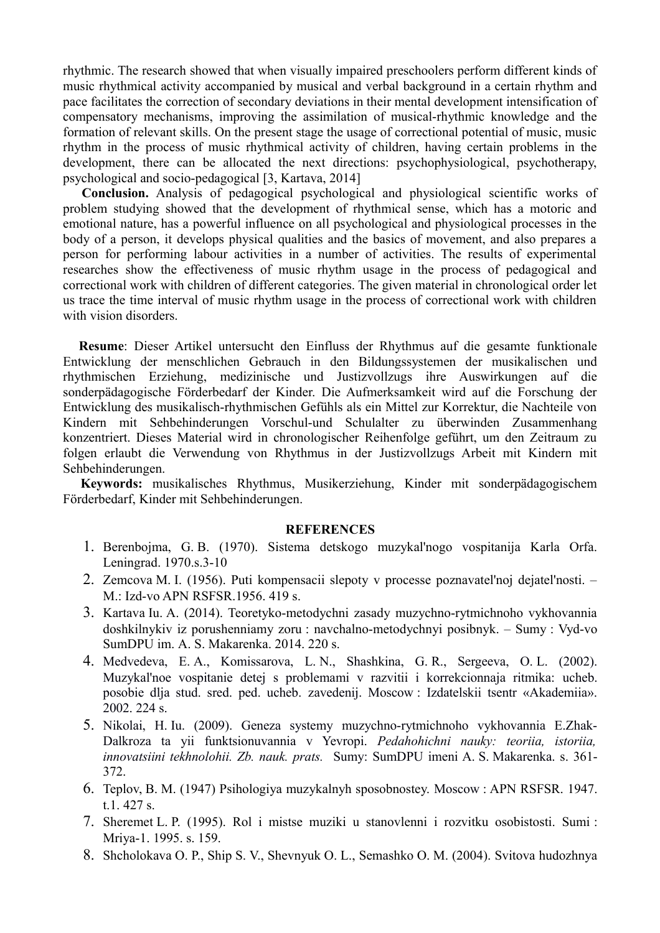rhythmic. The research showed that when visually impaired preschoolers perform different kinds of music rhythmical activity accompanied by musical and verbal background in a certain rhythm and pace facilitates the correction of secondary deviations in their mental development intensification of compensatory mechanisms, improving the assimilation of musical-rhythmic knowledge and the formation of relevant skills. On the present stage the usage of correctional potential of music, music rhythm in the process of music rhythmical activity of children, having certain problems in the development, there can be allocated the next directions: psychophysiological, psychotherapy, psychological and socio-pedagogical [3, Kartava, 2014]

**Conclusion.** Analysis of pedagogical psychological and physiological scientific works of problem studying showed that the development of rhythmical sense, which has a motoric and emotional nature, has a powerful influence on all psychological and physiological processes in the body of a person, it develops physical qualities and the basics of movement, and also prepares a person for performing labour activities in a number of activities. The results of experimental researches show the effectiveness of music rhythm usage in the process of pedagogical and correctional work with children of different categories. The given material in chronological order let us trace the time interval of music rhythm usage in the process of correctional work with children with vision disorders.

**Resume**: Dieser Artikel untersucht den Einfluss der Rhythmus auf die gesamte funktionale Entwicklung der menschlichen Gebrauch in den Bildungssystemen der musikalischen und rhythmischen Erziehung, medizinische und Justizvollzugs ihre Auswirkungen auf die sonderpädagogische Förderbedarf der Kinder. Die Aufmerksamkeit wird auf die Forschung der Entwicklung des musikalisch-rhythmischen Gefühls als ein Mittel zur Korrektur, die Nachteile von Kindern mit Sehbehinderungen Vorschul-und Schulalter zu überwinden Zusammenhang konzentriert. Dieses Material wird in chronologischer Reihenfolge geführt, um den Zeitraum zu folgen erlaubt die Verwendung von Rhythmus in der Justizvollzugs Arbeit mit Kindern mit Sehbehinderungen.

**Keywords:** musikalisches Rhythmus, Musikerziehung, Kinder mit sonderpädagogischem Förderbedarf, Kinder mit Sehbehinderungen.

### **REFERENCES**

- 1. Berenbojma, G. B. (1970). Sistema detskogo muzykal'nogo vospitanija Karla Orfa. Leningrad. 1970.s.3-10
- 2. Zemcova M. I. (1956). Puti kompensacii slepoty v processe poznavatel'noj dejatel'nosti. M.: Izd-vo APN RSFSR.1956. 419 s.
- 3. Kartava Iu. A. (2014). Teoretyko-metodychni zasady muzychno-rytmichnoho vykhovannia doshkilnykiv iz porushenniamy zoru : navchalno-metodychnyi posibnyk. – Sumy : Vyd-vo SumDPU im. A. S. Makarenka. 2014. 220 s.
- 4. Medvedeva, E. A., Komissarova, L. N., Shashkina, G. R., Sergeeva, O. L. (2002). Muzykal'noe vospitanie detej s problemami v razvitii i korrekcionnaja ritmika: ucheb. posobie dlja stud. sred. ped. ucheb. zavedenij. Moscow : Izdatelskii tsentr «Akademiia». 2002. 224 s.
- 5. Nikolai, H. Iu. (2009). Geneza systemy muzychno-rytmichnoho vykhovannia E.Zhak-Dalkroza ta yii funktsionuvannia v Yevropi. *Pedahohichni nauky: teoriia, istoriia, innovatsiini tekhnolohii. Zb. nauk. prats.* Sumy: SumDPU imeni A. S. Makarenka. s. 361- 372.
- 6. Teplov, B. M. (1947) Psihologiya muzykalnyh sposobnostey. Moscow : APN RSFSR. 1947. t.1. 427 s.
- 7. Sheremet L. P. (1995). Rol i mistse muziki u stanovlenni i rozvitku osobistosti. Sumi : Mriya-1. 1995. s. 159.
- 8. Shcholokava O. P., Ship S. V., Shevnyuk O. L., Semashko O. M. (2004). Svitova hudozhnya